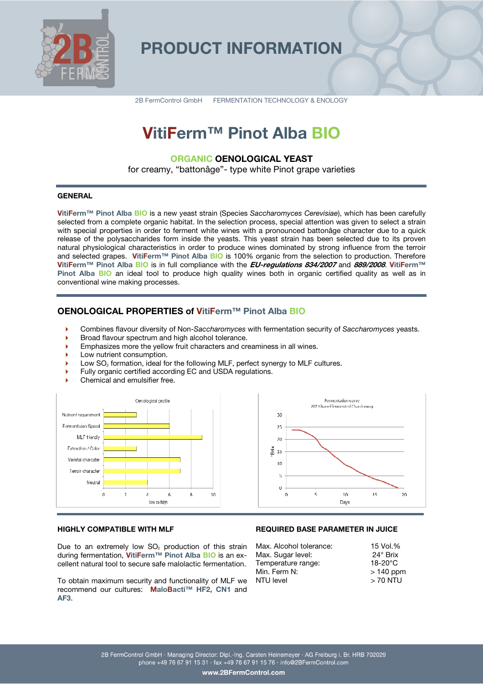

## **PRODUCT INFORMATION**

2B FermControl GmbH FERMENTATION TECHNOLOGY & ENOLOGY

# **VitiFerm™ Pinot Alba BIO**

### **ORGANIC OENOLOGICAL YEAST**

for creamy, "battonâge"- type white Pinot grape varieties

### **GENERAL**

**VitiFerm™ Pinot Alba BIO** is a new yeast strain (Species *Saccharomyces Cerevisiae*), which has been carefully selected from a complete organic habitat. In the selection process, special attention was given to select a strain with special properties in order to ferment white wines with a pronounced battonâge character due to a quick release of the polysaccharides form inside the yeasts. This yeast strain has been selected due to its proven natural physiological characteristics in order to produce wines dominated by strong influence from the terroir and selected grapes. **VitiFerm™ Pinot Alba BIO** is 100% organic from the selection to production. Therefore **VitiFerm™ Pinot Alba BIO** is in full compliance with the **EU-regulations 834/2007** and **889/2008**. **VitiFerm™ Pinot Alba BIO** an ideal tool to produce high quality wines both in organic certified quality as well as in conventional wine making processes.

### **OENOLOGICAL PROPERTIES of VitiFerm™ Pinot Alba BIO**

- Combines flavour diversity of Non-*Saccharomyces* with fermentation security of *Saccharomyces* yeasts.
- Broad flavour spectrum and high alcohol tolerance.
- Emphasizes more the yellow fruit characters and creaminess in all wines.
- Low nutrient consumption.
- Low SO<sub>2</sub> formation, ideal for the following MLF, perfect synergy to MLF cultures.
- Fully organic certified according EC and USDA regulations.
- Chemical and emulsifier free.





### **HIGHLY COMPATIBLE WITH MLF**

Due to an extremely low  $SO<sub>2</sub>$  production of this strain during fermentation, **VitiFerm™ Pinot Alba BIO** is an excellent natural tool to secure safe malolactic fermentation.

To obtain maximum security and functionality of MLF we recommend our cultures: **MaloBacti™ HF2, CN1** and **AF3**.

### **REQUIRED BASE PARAMETER IN JUICE**

| Max. Alcohol tolerance: | 15 Vol.%        |
|-------------------------|-----------------|
| Max. Sugar level:       | $24^\circ$ Brix |
| Temperature range:      | $18-20$ °C      |
| Min. Ferm N:            | $>140$ ppm      |
| NTU level               | $>$ 70 NTU      |
|                         |                 |